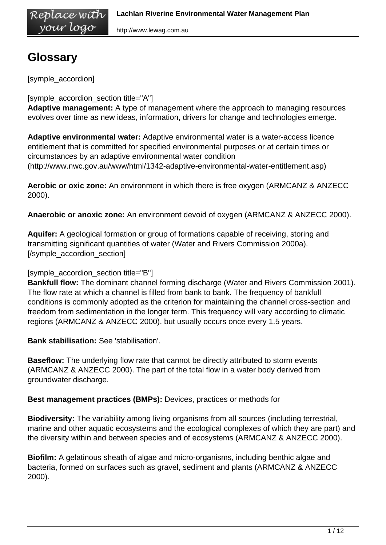http://www.lewag.com.au

# **Glossary**

[symple\_accordion]

Replace wíth your logo

[symple\_accordion\_section title="A"]

**Adaptive management:** A type of management where the approach to managing resources evolves over time as new ideas, information, drivers for change and technologies emerge.

**Adaptive environmental water:** Adaptive environmental water is a water-access licence entitlement that is committed for specified environmental purposes or at certain times or circumstances by an adaptive environmental water condition (http://www.nwc.gov.au/www/html/1342-adaptive-environmental-water-entitlement.asp)

**Aerobic or oxic zone:** An environment in which there is free oxygen (ARMCANZ & ANZECC 2000).

**Anaerobic or anoxic zone:** An environment devoid of oxygen (ARMCANZ & ANZECC 2000).

**Aquifer:** A geological formation or group of formations capable of receiving, storing and transmitting significant quantities of water (Water and Rivers Commission 2000a). [/symple\_accordion\_section]

#### [symple\_accordion\_section title="B"]

**Bankfull flow:** The dominant channel forming discharge (Water and Rivers Commission 2001). The flow rate at which a channel is filled from bank to bank. The frequency of bankfull conditions is commonly adopted as the criterion for maintaining the channel cross-section and freedom from sedimentation in the longer term. This frequency will vary according to climatic regions (ARMCANZ & ANZECC 2000), but usually occurs once every 1.5 years.

**Bank stabilisation:** See 'stabilisation'.

**Baseflow:** The underlying flow rate that cannot be directly attributed to storm events (ARMCANZ & ANZECC 2000). The part of the total flow in a water body derived from groundwater discharge.

**Best management practices (BMPs):** Devices, practices or methods for

**Biodiversity:** The variability among living organisms from all sources (including terrestrial, marine and other aquatic ecosystems and the ecological complexes of which they are part) and the diversity within and between species and of ecosystems (ARMCANZ & ANZECC 2000).

**Biofilm:** A gelatinous sheath of algae and micro-organisms, including benthic algae and bacteria, formed on surfaces such as gravel, sediment and plants (ARMCANZ & ANZECC 2000).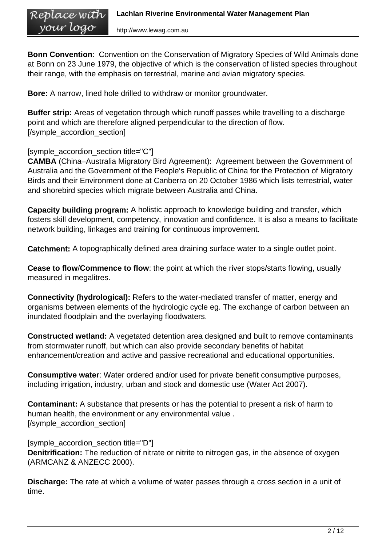**Bonn Convention**: Convention on the Conservation of Migratory Species of Wild Animals done at Bonn on 23 June 1979, the objective of which is the conservation of listed species throughout their range, with the emphasis on terrestrial, marine and avian migratory species.

**Bore:** A narrow, lined hole drilled to withdraw or monitor groundwater.

**Buffer strip:** Areas of vegetation through which runoff passes while travelling to a discharge point and which are therefore aligned perpendicular to the direction of flow. [/symple\_accordion\_section]

[symple\_accordion\_section title="C"]

**CAMBA** (China–Australia Migratory Bird Agreement): Agreement between the Government of Australia and the Government of the People's Republic of China for the Protection of Migratory Birds and their Environment done at Canberra on 20 October 1986 which lists terrestrial, water and shorebird species which migrate between Australia and China.

**Capacity building program:** A holistic approach to knowledge building and transfer, which fosters skill development, competency, innovation and confidence. It is also a means to facilitate network building, linkages and training for continuous improvement.

**Catchment:** A topographically defined area draining surface water to a single outlet point.

**Cease to flow**/**Commence to flow**: the point at which the river stops/starts flowing, usually measured in megalitres.

**Connectivity (hydrological):** Refers to the water-mediated transfer of matter, energy and organisms between elements of the hydrologic cycle eg. The exchange of carbon between an inundated floodplain and the overlaying floodwaters.

**Constructed wetland:** A vegetated detention area designed and built to remove contaminants from stormwater runoff, but which can also provide secondary benefits of habitat enhancement/creation and active and passive recreational and educational opportunities.

**Consumptive water**: Water ordered and/or used for private benefit consumptive purposes, including irrigation, industry, urban and stock and domestic use (Water Act 2007).

**Contaminant:** A substance that presents or has the potential to present a risk of harm to human health, the environment or any environmental value . [/symple\_accordion\_section]

[symple\_accordion\_section title="D"] **Denitrification:** The reduction of nitrate or nitrite to nitrogen gas, in the absence of oxygen (ARMCANZ & ANZECC 2000).

**Discharge:** The rate at which a volume of water passes through a cross section in a unit of time.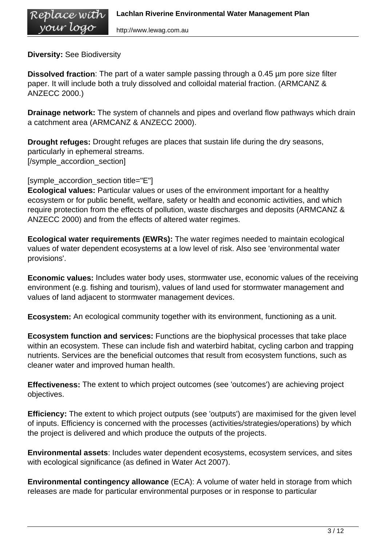**Diversity:** See Biodiversity

**Dissolved fraction**: The part of a water sample passing through a 0.45 µm pore size filter paper. It will include both a truly dissolved and colloidal material fraction. (ARMCANZ & ANZECC 2000.)

**Drainage network:** The system of channels and pipes and overland flow pathways which drain a catchment area (ARMCANZ & ANZECC 2000).

**Drought refuges:** Drought refuges are places that sustain life during the dry seasons, particularly in ephemeral streams. [/symple\_accordion\_section]

[symple\_accordion\_section title="E"]

**Ecological values:** Particular values or uses of the environment important for a healthy ecosystem or for public benefit, welfare, safety or health and economic activities, and which require protection from the effects of pollution, waste discharges and deposits (ARMCANZ & ANZECC 2000) and from the effects of altered water regimes.

**Ecological water requirements (EWRs):** The water regimes needed to maintain ecological values of water dependent ecosystems at a low level of risk. Also see 'environmental water provisions'.

**Economic values:** Includes water body uses, stormwater use, economic values of the receiving environment (e.g. fishing and tourism), values of land used for stormwater management and values of land adjacent to stormwater management devices.

**Ecosystem:** An ecological community together with its environment, functioning as a unit.

**Ecosystem function and services:** Functions are the biophysical processes that take place within an ecosystem. These can include fish and waterbird habitat, cycling carbon and trapping nutrients. Services are the beneficial outcomes that result from ecosystem functions, such as cleaner water and improved human health.

**Effectiveness:** The extent to which project outcomes (see 'outcomes') are achieving project objectives.

**Efficiency:** The extent to which project outputs (see 'outputs') are maximised for the given level of inputs. Efficiency is concerned with the processes (activities/strategies/operations) by which the project is delivered and which produce the outputs of the projects.

**Environmental assets**: Includes water dependent ecosystems, ecosystem services, and sites with ecological significance (as defined in Water Act 2007).

**Environmental contingency allowance** (ECA): A volume of water held in storage from which releases are made for particular environmental purposes or in response to particular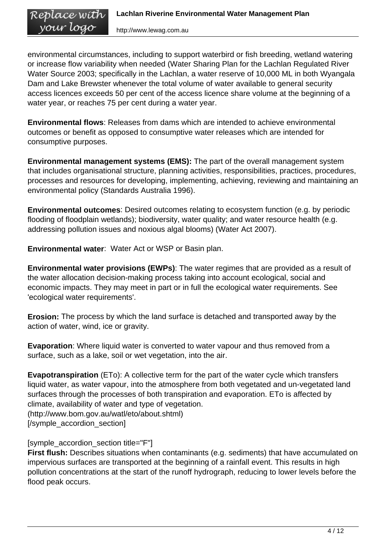environmental circumstances, including to support waterbird or fish breeding, wetland watering or increase flow variability when needed (Water Sharing Plan for the Lachlan Regulated River Water Source 2003; specifically in the Lachlan, a water reserve of 10,000 ML in both Wyangala Dam and Lake Brewster whenever the total volume of water available to general security access licences exceeds 50 per cent of the access licence share volume at the beginning of a water year, or reaches 75 per cent during a water year.

**Environmental flows**: Releases from dams which are intended to achieve environmental outcomes or benefit as opposed to consumptive water releases which are intended for consumptive purposes.

**Environmental management systems (EMS):** The part of the overall management system that includes organisational structure, planning activities, responsibilities, practices, procedures, processes and resources for developing, implementing, achieving, reviewing and maintaining an environmental policy (Standards Australia 1996).

**Environmental outcomes**: Desired outcomes relating to ecosystem function (e.g. by periodic flooding of floodplain wetlands); biodiversity, water quality; and water resource health (e.g. addressing pollution issues and noxious algal blooms) (Water Act 2007).

**Environmental water**: Water Act or WSP or Basin plan.

**Environmental water provisions (EWPs)**: The water regimes that are provided as a result of the water allocation decision-making process taking into account ecological, social and economic impacts. They may meet in part or in full the ecological water requirements. See 'ecological water requirements'.

**Erosion:** The process by which the land surface is detached and transported away by the action of water, wind, ice or gravity.

**Evaporation**: Where liquid water is converted to water vapour and thus removed from a surface, such as a lake, soil or wet vegetation, into the air.

**Evapotranspiration** (ETo): A collective term for the part of the water cycle which transfers liquid water, as water vapour, into the atmosphere from both vegetated and un-vegetated land surfaces through the processes of both transpiration and evaporation. ETo is affected by climate, availability of water and type of vegetation.

(http://www.bom.gov.au/watl/eto/about.shtml) [/symple\_accordion\_section]

[symple\_accordion\_section title="F"]

**First flush:** Describes situations when contaminants (e.g. sediments) that have accumulated on impervious surfaces are transported at the beginning of a rainfall event. This results in high pollution concentrations at the start of the runoff hydrograph, reducing to lower levels before the flood peak occurs.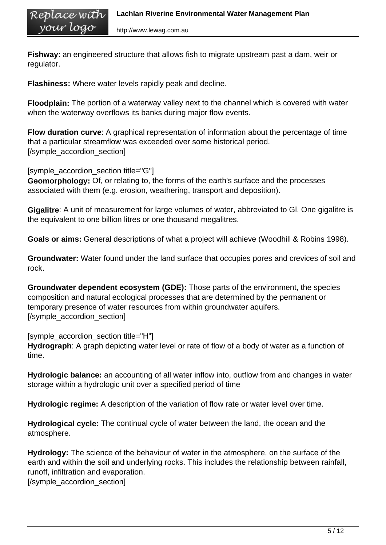**Fishway**: an engineered structure that allows fish to migrate upstream past a dam, weir or regulator.

**Flashiness:** Where water levels rapidly peak and decline.

**Floodplain:** The portion of a waterway valley next to the channel which is covered with water when the waterway overflows its banks during major flow events.

**Flow duration curve**: A graphical representation of information about the percentage of time that a particular streamflow was exceeded over some historical period. [/symple\_accordion\_section]

[symple\_accordion\_section title="G"]

**Geomorphology:** Of, or relating to, the forms of the earth's surface and the processes associated with them (e.g. erosion, weathering, transport and deposition).

**Gigalitre**: A unit of measurement for large volumes of water, abbreviated to Gl. One gigalitre is the equivalent to one billion litres or one thousand megalitres.

**Goals or aims:** General descriptions of what a project will achieve (Woodhill & Robins 1998).

**Groundwater:** Water found under the land surface that occupies pores and crevices of soil and rock.

**Groundwater dependent ecosystem (GDE):** Those parts of the environment, the species composition and natural ecological processes that are determined by the permanent or temporary presence of water resources from within groundwater aquifers. [/symple\_accordion\_section]

[symple\_accordion\_section title="H"] **Hydrograph**: A graph depicting water level or rate of flow of a body of water as a function of time.

**Hydrologic balance:** an accounting of all water inflow into, outflow from and changes in water storage within a hydrologic unit over a specified period of time

**Hydrologic regime:** A description of the variation of flow rate or water level over time.

**Hydrological cycle:** The continual cycle of water between the land, the ocean and the atmosphere.

**Hydrology:** The science of the behaviour of water in the atmosphere, on the surface of the earth and within the soil and underlying rocks. This includes the relationship between rainfall, runoff, infiltration and evaporation.

[/symple\_accordion\_section]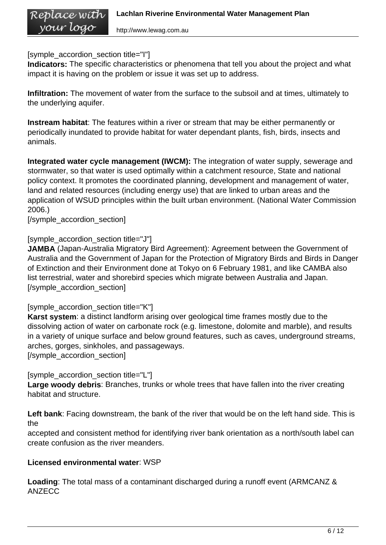[symple\_accordion\_section title="I"]

**Indicators:** The specific characteristics or phenomena that tell you about the project and what impact it is having on the problem or issue it was set up to address.

**Infiltration:** The movement of water from the surface to the subsoil and at times, ultimately to the underlying aquifer.

**Instream habitat**: The features within a river or stream that may be either permanently or periodically inundated to provide habitat for water dependant plants, fish, birds, insects and animals.

**Integrated water cycle management (IWCM):** The integration of water supply, sewerage and stormwater, so that water is used optimally within a catchment resource, State and national policy context. It promotes the coordinated planning, development and management of water, land and related resources (including energy use) that are linked to urban areas and the application of WSUD principles within the built urban environment. (National Water Commission 2006.)

[/symple\_accordion\_section]

[symple\_accordion\_section title="J"]

**JAMBA** (Japan-Australia Migratory Bird Agreement): Agreement between the Government of Australia and the Government of Japan for the Protection of Migratory Birds and Birds in Danger of Extinction and their Environment done at Tokyo on 6 February 1981, and like CAMBA also list terrestrial, water and shorebird species which migrate between Australia and Japan. [/symple\_accordion\_section]

[symple\_accordion\_section title="K"]

**Karst system**: a distinct landform arising over geological time frames mostly due to the dissolving action of water on carbonate rock (e.g. limestone, dolomite and marble), and results in a variety of unique surface and below ground features, such as caves, underground streams, arches, gorges, sinkholes, and passageways.

[/symple\_accordion\_section]

[symple\_accordion\_section title="L"]

**Large woody debris**: Branches, trunks or whole trees that have fallen into the river creating habitat and structure.

**Left bank**: Facing downstream, the bank of the river that would be on the left hand side. This is the

accepted and consistent method for identifying river bank orientation as a north/south label can create confusion as the river meanders.

## **Licensed environmental water**: WSP

**Loading**: The total mass of a contaminant discharged during a runoff event (ARMCANZ & ANZECC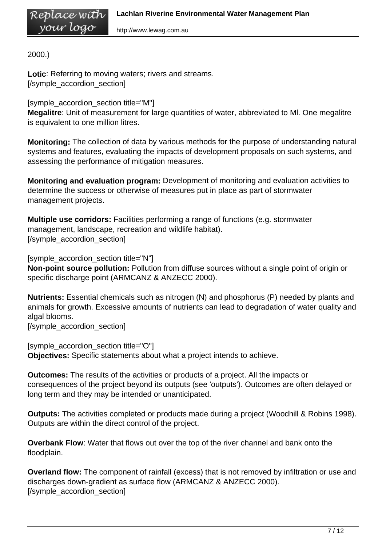2000.)

Replace with your logo

**Lotic**: Referring to moving waters; rivers and streams. [/symple\_accordion\_section]

[symple\_accordion\_section title="M"]

**Megalitre**: Unit of measurement for large quantities of water, abbreviated to Ml. One megalitre is equivalent to one million litres.

**Monitoring:** The collection of data by various methods for the purpose of understanding natural systems and features, evaluating the impacts of development proposals on such systems, and assessing the performance of mitigation measures.

**Monitoring and evaluation program:** Development of monitoring and evaluation activities to determine the success or otherwise of measures put in place as part of stormwater management projects.

**Multiple use corridors:** Facilities performing a range of functions (e.g. stormwater management, landscape, recreation and wildlife habitat). [/symple\_accordion\_section]

[symple\_accordion\_section title="N"] **Non-point source pollution:** Pollution from diffuse sources without a single point of origin or specific discharge point (ARMCANZ & ANZECC 2000).

**Nutrients:** Essential chemicals such as nitrogen (N) and phosphorus (P) needed by plants and animals for growth. Excessive amounts of nutrients can lead to degradation of water quality and algal blooms.

[/symple\_accordion\_section]

[symple\_accordion\_section title="O"] **Objectives:** Specific statements about what a project intends to achieve.

**Outcomes:** The results of the activities or products of a project. All the impacts or consequences of the project beyond its outputs (see 'outputs'). Outcomes are often delayed or long term and they may be intended or unanticipated.

**Outputs:** The activities completed or products made during a project (Woodhill & Robins 1998). Outputs are within the direct control of the project.

**Overbank Flow**: Water that flows out over the top of the river channel and bank onto the floodplain.

**Overland flow:** The component of rainfall (excess) that is not removed by infiltration or use and discharges down-gradient as surface flow (ARMCANZ & ANZECC 2000). [/symple\_accordion\_section]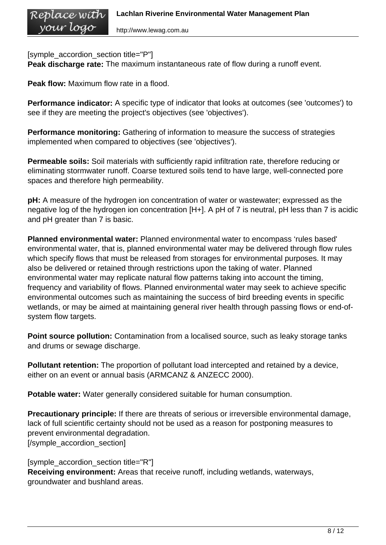[symple\_accordion\_section title="P"]

**Peak discharge rate:** The maximum instantaneous rate of flow during a runoff event.

**Peak flow:** Maximum flow rate in a flood.

**Performance indicator:** A specific type of indicator that looks at outcomes (see 'outcomes') to see if they are meeting the project's objectives (see 'objectives').

**Performance monitoring:** Gathering of information to measure the success of strategies implemented when compared to objectives (see 'objectives').

**Permeable soils:** Soil materials with sufficiently rapid infiltration rate, therefore reducing or eliminating stormwater runoff. Coarse textured soils tend to have large, well-connected pore spaces and therefore high permeability.

**pH:** A measure of the hydrogen ion concentration of water or wastewater; expressed as the negative log of the hydrogen ion concentration [H+]. A pH of 7 is neutral, pH less than 7 is acidic and pH greater than 7 is basic.

**Planned environmental water:** Planned environmental water to encompass 'rules based' environmental water, that is, planned environmental water may be delivered through flow rules which specify flows that must be released from storages for environmental purposes. It may also be delivered or retained through restrictions upon the taking of water. Planned environmental water may replicate natural flow patterns taking into account the timing, frequency and variability of flows. Planned environmental water may seek to achieve specific environmental outcomes such as maintaining the success of bird breeding events in specific wetlands, or may be aimed at maintaining general river health through passing flows or end-ofsystem flow targets.

**Point source pollution:** Contamination from a localised source, such as leaky storage tanks and drums or sewage discharge.

**Pollutant retention:** The proportion of pollutant load intercepted and retained by a device, either on an event or annual basis (ARMCANZ & ANZECC 2000).

**Potable water:** Water generally considered suitable for human consumption.

**Precautionary principle:** If there are threats of serious or irreversible environmental damage, lack of full scientific certainty should not be used as a reason for postponing measures to prevent environmental degradation. [/symple\_accordion\_section]

[symple\_accordion\_section title="R"] **Receiving environment:** Areas that receive runoff, including wetlands, waterways, groundwater and bushland areas.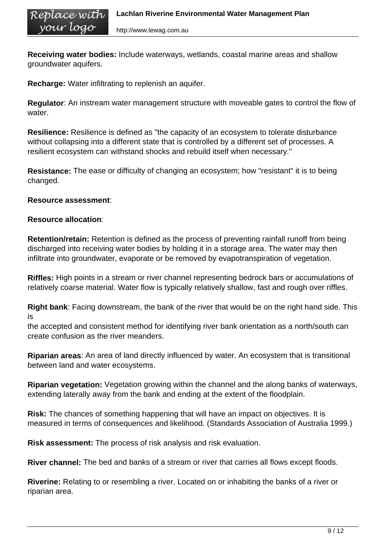**Receiving water bodies:** Include waterways, wetlands, coastal marine areas and shallow groundwater aquifers.

**Recharge:** Water infiltrating to replenish an aquifer.

**Regulator**: An instream water management structure with moveable gates to control the flow of water.

**Resilience:** Resilience is defined as "the capacity of an ecosystem to tolerate disturbance without collapsing into a different state that is controlled by a different set of processes. A resilient ecosystem can withstand shocks and rebuild itself when necessary."

**Resistance:** The ease or difficulty of changing an ecosystem; how "resistant" it is to being changed.

## **Resource assessment**:

## **Resource allocation**:

**Retention/retain:** Retention is defined as the process of preventing rainfall runoff from being discharged into receiving water bodies by holding it in a storage area. The water may then infiltrate into groundwater, evaporate or be removed by evapotranspiration of vegetation.

**Riffles:** High points in a stream or river channel representing bedrock bars or accumulations of relatively coarse material. Water flow is typically relatively shallow, fast and rough over riffles.

**Right bank**: Facing downstream, the bank of the river that would be on the right hand side. This is

the accepted and consistent method for identifying river bank orientation as a north/south can create confusion as the river meanders.

**Riparian areas**: An area of land directly influenced by water. An ecosystem that is transitional between land and water ecosystems.

**Riparian vegetation:** Vegetation growing within the channel and the along banks of waterways, extending laterally away from the bank and ending at the extent of the floodplain.

**Risk:** The chances of something happening that will have an impact on objectives. It is measured in terms of consequences and likelihood. (Standards Association of Australia 1999.)

**Risk assessment:** The process of risk analysis and risk evaluation.

**River channel:** The bed and banks of a stream or river that carries all flows except floods.

**Riverine:** Relating to or resembling a river. Located on or inhabiting the banks of a river or riparian area.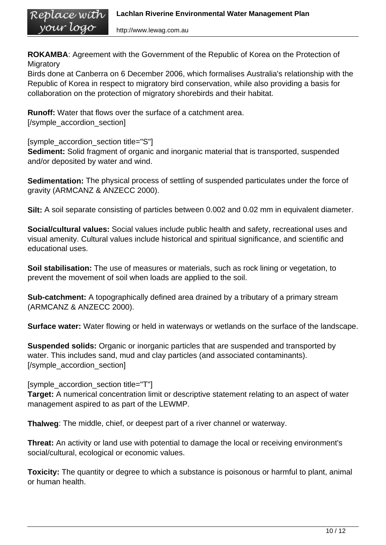**ROKAMBA**: Agreement with the Government of the Republic of Korea on the Protection of **Migratory** 

Birds done at Canberra on 6 December 2006, which formalises Australia's relationship with the Republic of Korea in respect to migratory bird conservation, while also providing a basis for collaboration on the protection of migratory shorebirds and their habitat.

**Runoff:** Water that flows over the surface of a catchment area. [/symple\_accordion\_section]

[symple\_accordion\_section title="S"] **Sediment:** Solid fragment of organic and inorganic material that is transported, suspended and/or deposited by water and wind.

**Sedimentation:** The physical process of settling of suspended particulates under the force of gravity (ARMCANZ & ANZECC 2000).

**Silt:** A soil separate consisting of particles between 0.002 and 0.02 mm in equivalent diameter.

**Social/cultural values:** Social values include public health and safety, recreational uses and visual amenity. Cultural values include historical and spiritual significance, and scientific and educational uses.

**Soil stabilisation:** The use of measures or materials, such as rock lining or vegetation, to prevent the movement of soil when loads are applied to the soil.

**Sub-catchment:** A topographically defined area drained by a tributary of a primary stream (ARMCANZ & ANZECC 2000).

**Surface water:** Water flowing or held in waterways or wetlands on the surface of the landscape.

**Suspended solids:** Organic or inorganic particles that are suspended and transported by water. This includes sand, mud and clay particles (and associated contaminants). [/symple\_accordion\_section]

[symple\_accordion\_section title="T"]

**Target:** A numerical concentration limit or descriptive statement relating to an aspect of water management aspired to as part of the LEWMP.

**Thalweg**: The middle, chief, or deepest part of a river channel or waterway.

**Threat:** An activity or land use with potential to damage the local or receiving environment's social/cultural, ecological or economic values.

**Toxicity:** The quantity or degree to which a substance is poisonous or harmful to plant, animal or human health.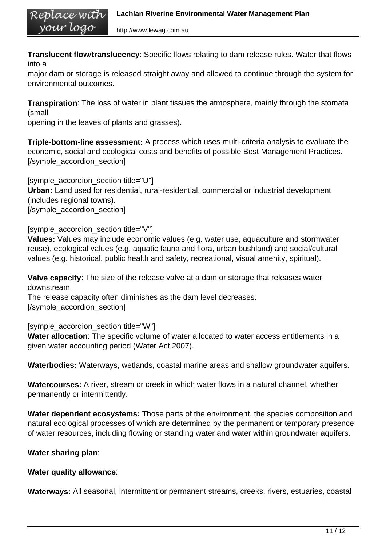http://www.lewag.com.au

**Translucent flow**/**translucency**: Specific flows relating to dam release rules. Water that flows into a

major dam or storage is released straight away and allowed to continue through the system for environmental outcomes.

**Transpiration**: The loss of water in plant tissues the atmosphere, mainly through the stomata (small

opening in the leaves of plants and grasses).

Replace with your logo

**Triple-bottom-line assessment:** A process which uses multi-criteria analysis to evaluate the economic, social and ecological costs and benefits of possible Best Management Practices. [/symple\_accordion\_section]

[symple\_accordion\_section title="U"] **Urban:** Land used for residential, rural-residential, commercial or industrial development (includes regional towns). [/symple\_accordion\_section]

[symple\_accordion\_section title="V"]

**Values:** Values may include economic values (e.g. water use, aquaculture and stormwater reuse), ecological values (e.g. aquatic fauna and flora, urban bushland) and social/cultural values (e.g. historical, public health and safety, recreational, visual amenity, spiritual).

**Valve capacity**: The size of the release valve at a dam or storage that releases water downstream.

The release capacity often diminishes as the dam level decreases. [/symple\_accordion\_section]

[symple\_accordion\_section title="W"]

**Water allocation**: The specific volume of water allocated to water access entitlements in a given water accounting period (Water Act 2007).

**Waterbodies:** Waterways, wetlands, coastal marine areas and shallow groundwater aquifers.

**Watercourses:** A river, stream or creek in which water flows in a natural channel, whether permanently or intermittently.

**Water dependent ecosystems:** Those parts of the environment, the species composition and natural ecological processes of which are determined by the permanent or temporary presence of water resources, including flowing or standing water and water within groundwater aquifers.

#### **Water sharing plan**:

#### **Water quality allowance**:

**Waterways:** All seasonal, intermittent or permanent streams, creeks, rivers, estuaries, coastal